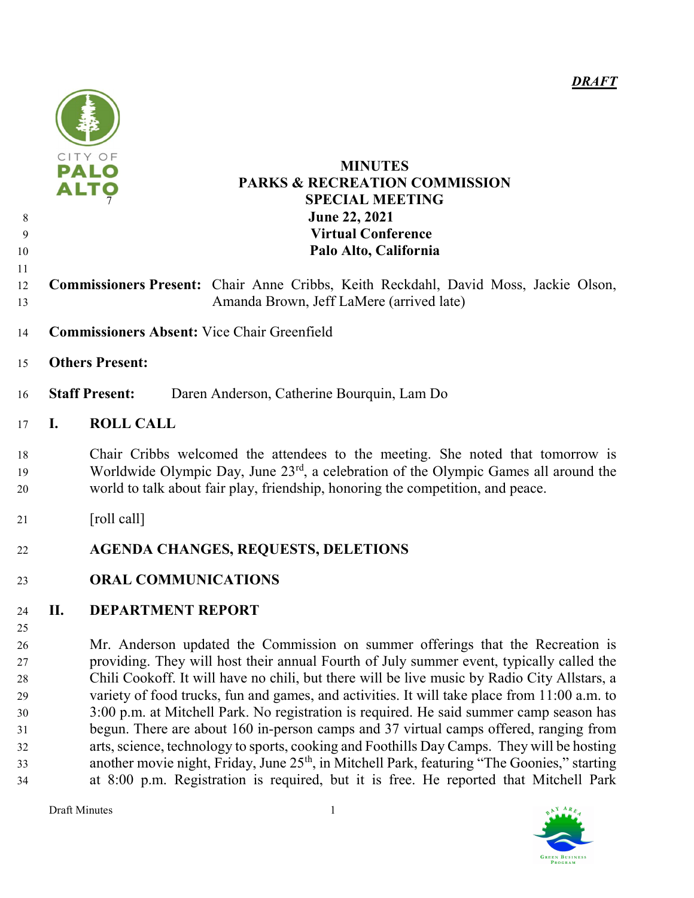

## PALO MINUTES PARKS & RECREATION COMMISSION **SPECIAL MEETING June 22, 2021** Virtual Conference Palo Alto, California

- Commissioners Present: Chair Anne Cribbs, Keith Reckdahl, David Moss, Jackie Olson, Amanda Brown, Jeff LaMere (arrived late)
- Commissioners Absent: Vice Chair Greenfield
- Others Present:
- Staff Present: Daren Anderson, Catherine Bourquin, Lam Do

# I. ROLL CALL

Chair Cribbs welcomed the attendees to the meeting. She noted that tomorrow is Worldwide Olympic Day, June  $23<sup>rd</sup>$ , a celebration of the Olympic Games all around the world to talk about fair play, friendship, honoring the competition, and peace.

- 21 [roll call]
- AGENDA CHANGES, REQUESTS, DELETIONS
- ORAL COMMUNICATIONS

# II. DEPARTMENT REPORT

Mr. Anderson updated the Commission on summer offerings that the Recreation is providing. They will host their annual Fourth of July summer event, typically called the Chili Cookoff. It will have no chili, but there will be live music by Radio City Allstars, a variety of food trucks, fun and games, and activities. It will take place from 11:00 a.m. to 3:00 p.m. at Mitchell Park. No registration is required. He said summer camp season has begun. There are about 160 in-person camps and 37 virtual camps offered, ranging from arts, science, technology to sports, cooking and Foothills Day Camps. They will be hosting another movie night, Friday, June 25<sup>th</sup>, in Mitchell Park, featuring "The Goonies," starting at 8:00 p.m. Registration is required, but it is free. He reported that Mitchell Park

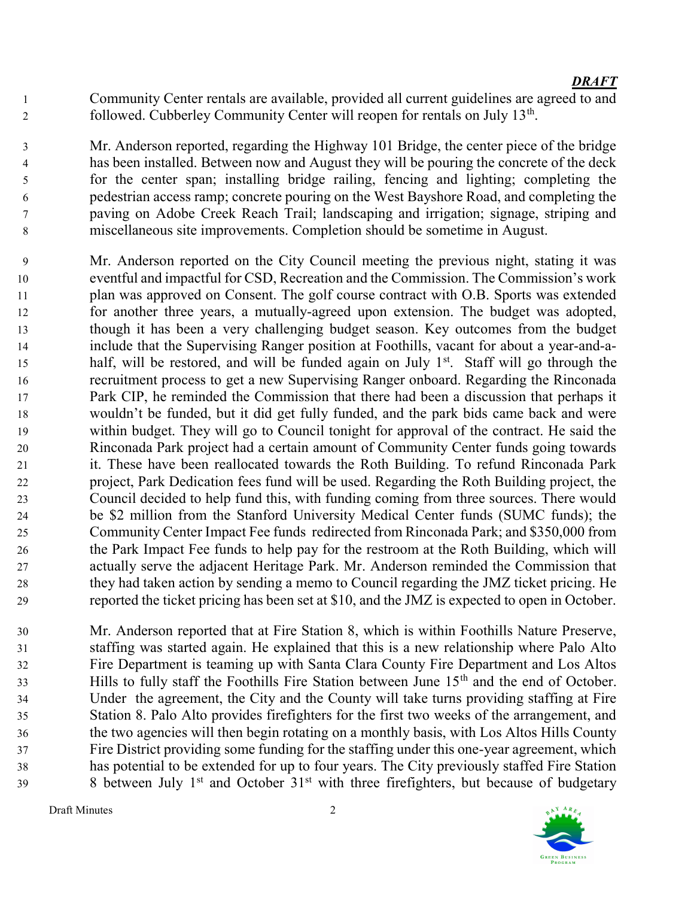Community Center rentals are available, provided all current guidelines are agreed to and followed. Cubberley Community Center will reopen for rentals on July 13<sup>th</sup>.

Mr. Anderson reported, regarding the Highway 101 Bridge, the center piece of the bridge has been installed. Between now and August they will be pouring the concrete of the deck for the center span; installing bridge railing, fencing and lighting; completing the pedestrian access ramp; concrete pouring on the West Bayshore Road, and completing the paving on Adobe Creek Reach Trail; landscaping and irrigation; signage, striping and miscellaneous site improvements. Completion should be sometime in August.

Mr. Anderson reported on the City Council meeting the previous night, stating it was eventful and impactful for CSD, Recreation and the Commission. The Commission's work plan was approved on Consent. The golf course contract with O.B. Sports was extended for another three years, a mutually-agreed upon extension. The budget was adopted, though it has been a very challenging budget season. Key outcomes from the budget include that the Supervising Ranger position at Foothills, vacant for about a year-and-ahalf, will be restored, and will be funded again on July  $1<sup>st</sup>$ . Staff will go through the recruitment process to get a new Supervising Ranger onboard. Regarding the Rinconada Park CIP, he reminded the Commission that there had been a discussion that perhaps it wouldn't be funded, but it did get fully funded, and the park bids came back and were within budget. They will go to Council tonight for approval of the contract. He said the Rinconada Park project had a certain amount of Community Center funds going towards it. These have been reallocated towards the Roth Building. To refund Rinconada Park project, Park Dedication fees fund will be used. Regarding the Roth Building project, the Council decided to help fund this, with funding coming from three sources. There would be \$2 million from the Stanford University Medical Center funds (SUMC funds); the Community Center Impact Fee funds redirected from Rinconada Park; and \$350,000 from the Park Impact Fee funds to help pay for the restroom at the Roth Building, which will actually serve the adjacent Heritage Park. Mr. Anderson reminded the Commission that they had taken action by sending a memo to Council regarding the JMZ ticket pricing. He reported the ticket pricing has been set at \$10, and the JMZ is expected to open in October.

Mr. Anderson reported that at Fire Station 8, which is within Foothills Nature Preserve, staffing was started again. He explained that this is a new relationship where Palo Alto Fire Department is teaming up with Santa Clara County Fire Department and Los Altos Hills to fully staff the Foothills Fire Station between June 15<sup>th</sup> and the end of October. Under the agreement, the City and the County will take turns providing staffing at Fire Station 8. Palo Alto provides firefighters for the first two weeks of the arrangement, and the two agencies will then begin rotating on a monthly basis, with Los Altos Hills County Fire District providing some funding for the staffing under this one-year agreement, which has potential to be extended for up to four years. The City previously staffed Fire Station between July 1<sup>st</sup> and October  $31<sup>st</sup>$  with three firefighters, but because of budgetary

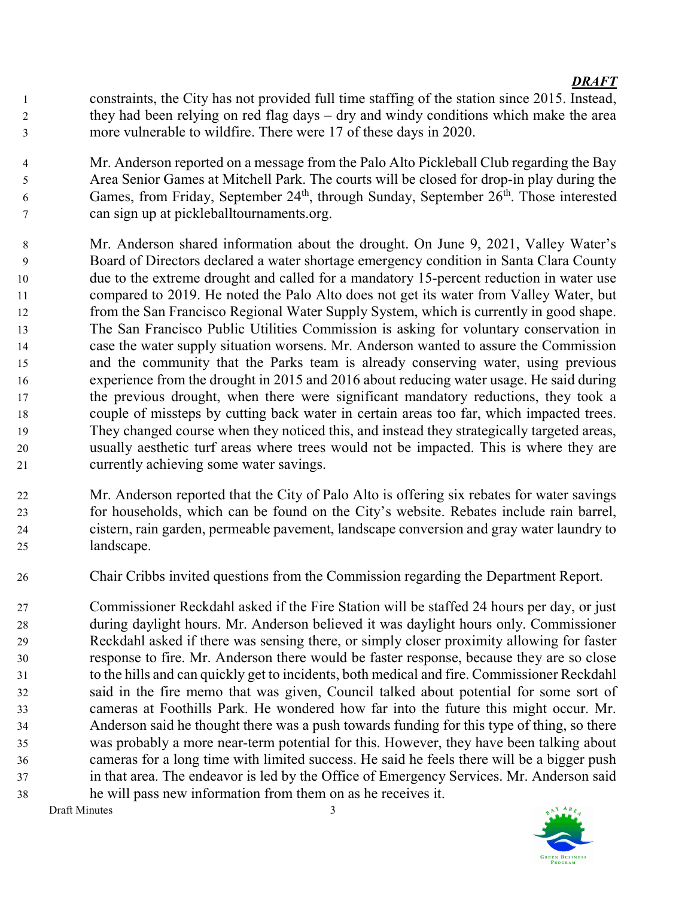constraints, the City has not provided full time staffing of the station since 2015. Instead, they had been relying on red flag days – dry and windy conditions which make the area more vulnerable to wildfire. There were 17 of these days in 2020.

Mr. Anderson reported on a message from the Palo Alto Pickleball Club regarding the Bay Area Senior Games at Mitchell Park. The courts will be closed for drop-in play during the 6 Games, from Friday, September 24<sup>th</sup>, through Sunday, September  $26<sup>th</sup>$ . Those interested can sign up at pickleballtournaments.org.

- Mr. Anderson shared information about the drought. On June 9, 2021, Valley Water's Board of Directors declared a water shortage emergency condition in Santa Clara County due to the extreme drought and called for a mandatory 15-percent reduction in water use compared to 2019. He noted the Palo Alto does not get its water from Valley Water, but from the San Francisco Regional Water Supply System, which is currently in good shape. The San Francisco Public Utilities Commission is asking for voluntary conservation in case the water supply situation worsens. Mr. Anderson wanted to assure the Commission and the community that the Parks team is already conserving water, using previous experience from the drought in 2015 and 2016 about reducing water usage. He said during the previous drought, when there were significant mandatory reductions, they took a couple of missteps by cutting back water in certain areas too far, which impacted trees. They changed course when they noticed this, and instead they strategically targeted areas, usually aesthetic turf areas where trees would not be impacted. This is where they are currently achieving some water savings.
- Mr. Anderson reported that the City of Palo Alto is offering six rebates for water savings for households, which can be found on the City's website. Rebates include rain barrel, cistern, rain garden, permeable pavement, landscape conversion and gray water laundry to landscape.
- Chair Cribbs invited questions from the Commission regarding the Department Report.
- Commissioner Reckdahl asked if the Fire Station will be staffed 24 hours per day, or just during daylight hours. Mr. Anderson believed it was daylight hours only. Commissioner Reckdahl asked if there was sensing there, or simply closer proximity allowing for faster response to fire. Mr. Anderson there would be faster response, because they are so close to the hills and can quickly get to incidents, both medical and fire. Commissioner Reckdahl said in the fire memo that was given, Council talked about potential for some sort of cameras at Foothills Park. He wondered how far into the future this might occur. Mr. Anderson said he thought there was a push towards funding for this type of thing, so there was probably a more near-term potential for this. However, they have been talking about cameras for a long time with limited success. He said he feels there will be a bigger push in that area. The endeavor is led by the Office of Emergency Services. Mr. Anderson said he will pass new information from them on as he receives it.

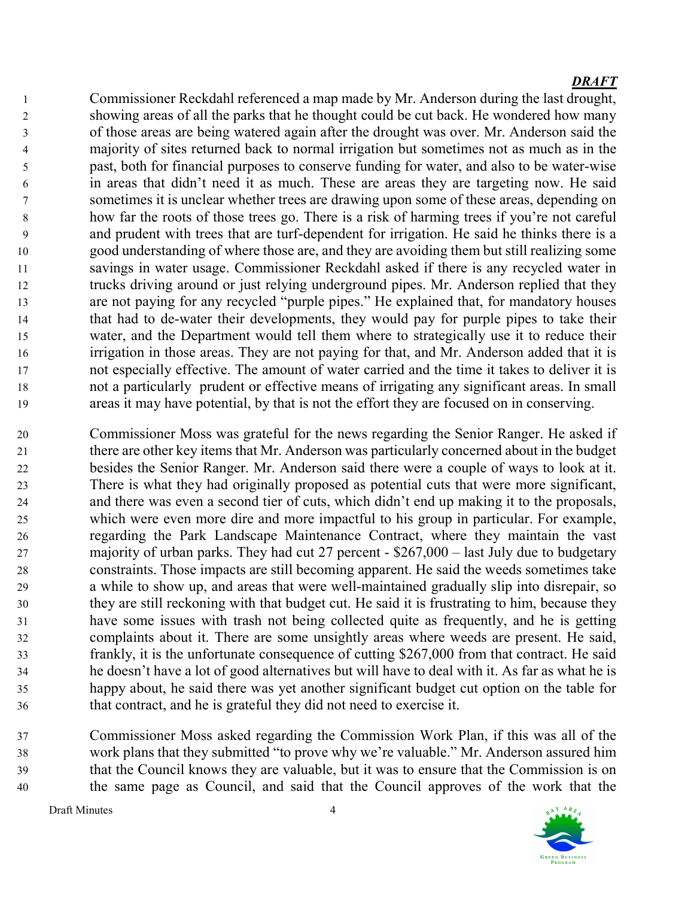Commissioner Reckdahl referenced a map made by Mr. Anderson during the last drought, showing areas of all the parks that he thought could be cut back. He wondered how many of those areas are being watered again after the drought was over. Mr. Anderson said the majority of sites returned back to normal irrigation but sometimes not as much as in the past, both for financial purposes to conserve funding for water, and also to be water-wise in areas that didn't need it as much. These are areas they are targeting now. He said sometimes it is unclear whether trees are drawing upon some of these areas, depending on how far the roots of those trees go. There is a risk of harming trees if you're not careful and prudent with trees that are turf-dependent for irrigation. He said he thinks there is a good understanding of where those are, and they are avoiding them but still realizing some savings in water usage. Commissioner Reckdahl asked if there is any recycled water in trucks driving around or just relying underground pipes. Mr. Anderson replied that they are not paying for any recycled "purple pipes." He explained that, for mandatory houses that had to de-water their developments, they would pay for purple pipes to take their water, and the Department would tell them where to strategically use it to reduce their irrigation in those areas. They are not paying for that, and Mr. Anderson added that it is not especially effective. The amount of water carried and the time it takes to deliver it is not a particularly prudent or effective means of irrigating any significant areas. In small areas it may have potential, by that is not the effort they are focused on in conserving.

Commissioner Moss was grateful for the news regarding the Senior Ranger. He asked if there are other key items that Mr. Anderson was particularly concerned about in the budget besides the Senior Ranger. Mr. Anderson said there were a couple of ways to look at it. There is what they had originally proposed as potential cuts that were more significant, and there was even a second tier of cuts, which didn't end up making it to the proposals, which were even more dire and more impactful to his group in particular. For example, regarding the Park Landscape Maintenance Contract, where they maintain the vast majority of urban parks. They had cut 27 percent - \$267,000 – last July due to budgetary constraints. Those impacts are still becoming apparent. He said the weeds sometimes take a while to show up, and areas that were well-maintained gradually slip into disrepair, so they are still reckoning with that budget cut. He said it is frustrating to him, because they have some issues with trash not being collected quite as frequently, and he is getting complaints about it. There are some unsightly areas where weeds are present. He said, frankly, it is the unfortunate consequence of cutting \$267,000 from that contract. He said he doesn't have a lot of good alternatives but will have to deal with it. As far as what he is happy about, he said there was yet another significant budget cut option on the table for that contract, and he is grateful they did not need to exercise it.

Commissioner Moss asked regarding the Commission Work Plan, if this was all of the work plans that they submitted "to prove why we're valuable." Mr. Anderson assured him that the Council knows they are valuable, but it was to ensure that the Commission is on the same page as Council, and said that the Council approves of the work that the

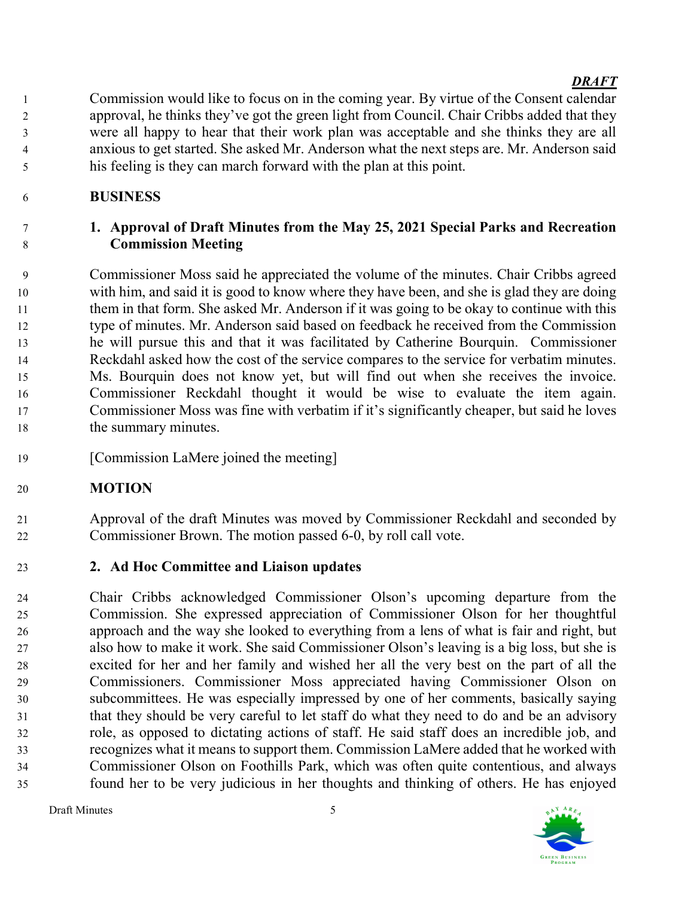Commission would like to focus on in the coming year. By virtue of the Consent calendar approval, he thinks they've got the green light from Council. Chair Cribbs added that they were all happy to hear that their work plan was acceptable and she thinks they are all anxious to get started. She asked Mr. Anderson what the next steps are. Mr. Anderson said his feeling is they can march forward with the plan at this point.

# BUSINESS

# 1. Approval of Draft Minutes from the May 25, 2021 Special Parks and Recreation Commission Meeting

Commissioner Moss said he appreciated the volume of the minutes. Chair Cribbs agreed with him, and said it is good to know where they have been, and she is glad they are doing them in that form. She asked Mr. Anderson if it was going to be okay to continue with this type of minutes. Mr. Anderson said based on feedback he received from the Commission he will pursue this and that it was facilitated by Catherine Bourquin. Commissioner Reckdahl asked how the cost of the service compares to the service for verbatim minutes. Ms. Bourquin does not know yet, but will find out when she receives the invoice. Commissioner Reckdahl thought it would be wise to evaluate the item again. Commissioner Moss was fine with verbatim if it's significantly cheaper, but said he loves 18 the summary minutes.

[Commission LaMere joined the meeting]

# MOTION

Approval of the draft Minutes was moved by Commissioner Reckdahl and seconded by Commissioner Brown. The motion passed 6-0, by roll call vote.

# 2. Ad Hoc Committee and Liaison updates

Chair Cribbs acknowledged Commissioner Olson's upcoming departure from the Commission. She expressed appreciation of Commissioner Olson for her thoughtful approach and the way she looked to everything from a lens of what is fair and right, but also how to make it work. She said Commissioner Olson's leaving is a big loss, but she is excited for her and her family and wished her all the very best on the part of all the Commissioners. Commissioner Moss appreciated having Commissioner Olson on subcommittees. He was especially impressed by one of her comments, basically saying that they should be very careful to let staff do what they need to do and be an advisory role, as opposed to dictating actions of staff. He said staff does an incredible job, and recognizes what it means to support them. Commission LaMere added that he worked with Commissioner Olson on Foothills Park, which was often quite contentious, and always found her to be very judicious in her thoughts and thinking of others. He has enjoyed

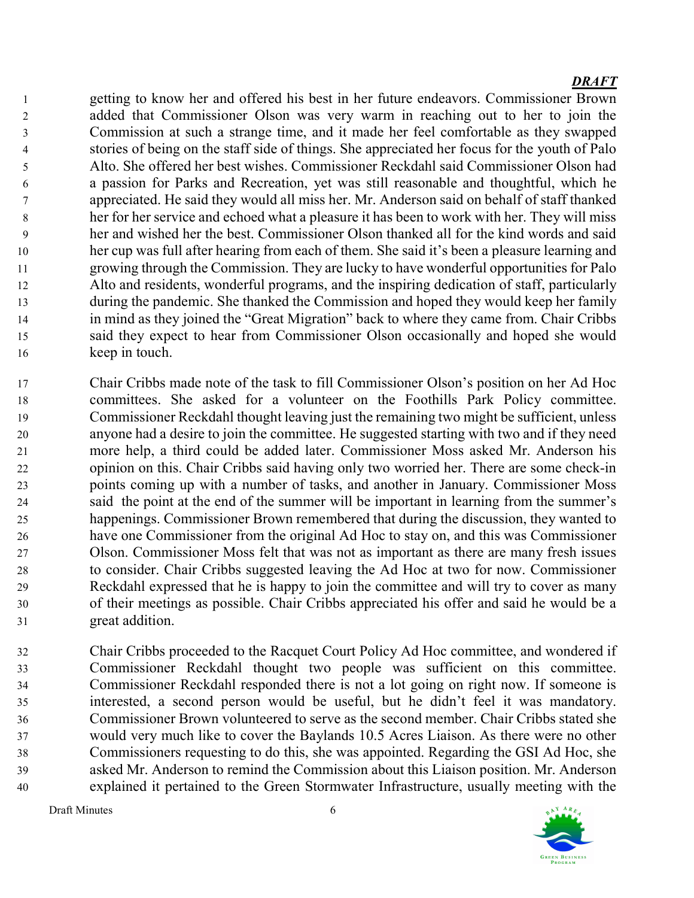getting to know her and offered his best in her future endeavors. Commissioner Brown added that Commissioner Olson was very warm in reaching out to her to join the Commission at such a strange time, and it made her feel comfortable as they swapped stories of being on the staff side of things. She appreciated her focus for the youth of Palo Alto. She offered her best wishes. Commissioner Reckdahl said Commissioner Olson had a passion for Parks and Recreation, yet was still reasonable and thoughtful, which he appreciated. He said they would all miss her. Mr. Anderson said on behalf of staff thanked her for her service and echoed what a pleasure it has been to work with her. They will miss her and wished her the best. Commissioner Olson thanked all for the kind words and said her cup was full after hearing from each of them. She said it's been a pleasure learning and growing through the Commission. They are lucky to have wonderful opportunities for Palo Alto and residents, wonderful programs, and the inspiring dedication of staff, particularly during the pandemic. She thanked the Commission and hoped they would keep her family in mind as they joined the "Great Migration" back to where they came from. Chair Cribbs said they expect to hear from Commissioner Olson occasionally and hoped she would keep in touch.

- Chair Cribbs made note of the task to fill Commissioner Olson's position on her Ad Hoc committees. She asked for a volunteer on the Foothills Park Policy committee. Commissioner Reckdahl thought leaving just the remaining two might be sufficient, unless anyone had a desire to join the committee. He suggested starting with two and if they need more help, a third could be added later. Commissioner Moss asked Mr. Anderson his opinion on this. Chair Cribbs said having only two worried her. There are some check-in points coming up with a number of tasks, and another in January. Commissioner Moss said the point at the end of the summer will be important in learning from the summer's happenings. Commissioner Brown remembered that during the discussion, they wanted to have one Commissioner from the original Ad Hoc to stay on, and this was Commissioner Olson. Commissioner Moss felt that was not as important as there are many fresh issues to consider. Chair Cribbs suggested leaving the Ad Hoc at two for now. Commissioner Reckdahl expressed that he is happy to join the committee and will try to cover as many of their meetings as possible. Chair Cribbs appreciated his offer and said he would be a great addition.
- Chair Cribbs proceeded to the Racquet Court Policy Ad Hoc committee, and wondered if Commissioner Reckdahl thought two people was sufficient on this committee. Commissioner Reckdahl responded there is not a lot going on right now. If someone is interested, a second person would be useful, but he didn't feel it was mandatory. Commissioner Brown volunteered to serve as the second member. Chair Cribbs stated she would very much like to cover the Baylands 10.5 Acres Liaison. As there were no other Commissioners requesting to do this, she was appointed. Regarding the GSI Ad Hoc, she asked Mr. Anderson to remind the Commission about this Liaison position. Mr. Anderson explained it pertained to the Green Stormwater Infrastructure, usually meeting with the

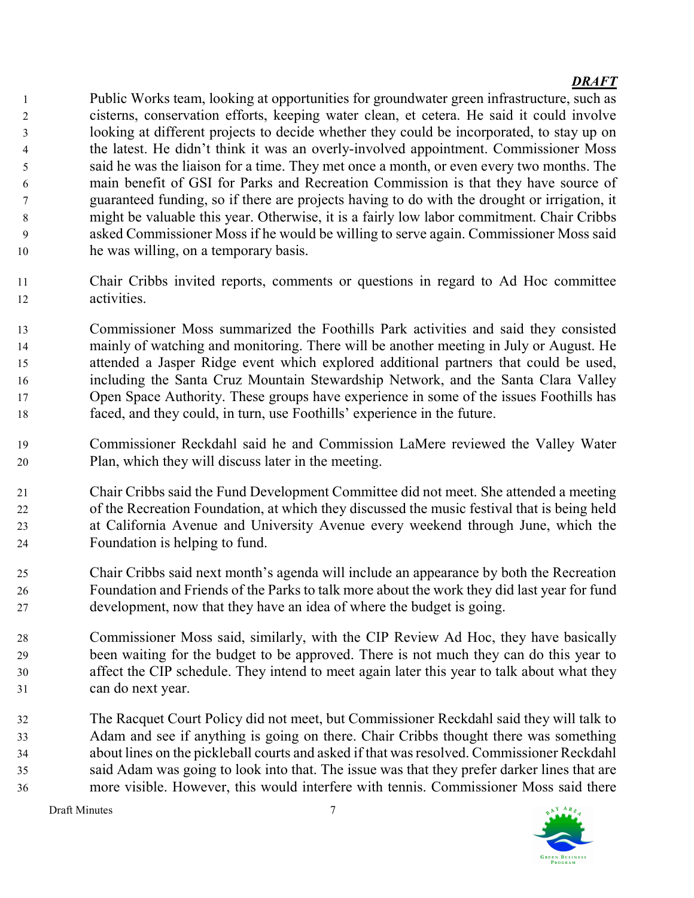Public Works team, looking at opportunities for groundwater green infrastructure, such as cisterns, conservation efforts, keeping water clean, et cetera. He said it could involve looking at different projects to decide whether they could be incorporated, to stay up on the latest. He didn't think it was an overly-involved appointment. Commissioner Moss said he was the liaison for a time. They met once a month, or even every two months. The main benefit of GSI for Parks and Recreation Commission is that they have source of guaranteed funding, so if there are projects having to do with the drought or irrigation, it might be valuable this year. Otherwise, it is a fairly low labor commitment. Chair Cribbs asked Commissioner Moss if he would be willing to serve again. Commissioner Moss said he was willing, on a temporary basis.

Chair Cribbs invited reports, comments or questions in regard to Ad Hoc committee activities.

Commissioner Moss summarized the Foothills Park activities and said they consisted mainly of watching and monitoring. There will be another meeting in July or August. He attended a Jasper Ridge event which explored additional partners that could be used, including the Santa Cruz Mountain Stewardship Network, and the Santa Clara Valley Open Space Authority. These groups have experience in some of the issues Foothills has faced, and they could, in turn, use Foothills' experience in the future.

- Commissioner Reckdahl said he and Commission LaMere reviewed the Valley Water Plan, which they will discuss later in the meeting.
- Chair Cribbs said the Fund Development Committee did not meet. She attended a meeting of the Recreation Foundation, at which they discussed the music festival that is being held at California Avenue and University Avenue every weekend through June, which the Foundation is helping to fund.
- Chair Cribbs said next month's agenda will include an appearance by both the Recreation Foundation and Friends of the Parks to talk more about the work they did last year for fund development, now that they have an idea of where the budget is going.
- Commissioner Moss said, similarly, with the CIP Review Ad Hoc, they have basically been waiting for the budget to be approved. There is not much they can do this year to affect the CIP schedule. They intend to meet again later this year to talk about what they can do next year.
- The Racquet Court Policy did not meet, but Commissioner Reckdahl said they will talk to Adam and see if anything is going on there. Chair Cribbs thought there was something about lines on the pickleball courts and asked if that was resolved. Commissioner Reckdahl said Adam was going to look into that. The issue was that they prefer darker lines that are more visible. However, this would interfere with tennis. Commissioner Moss said there

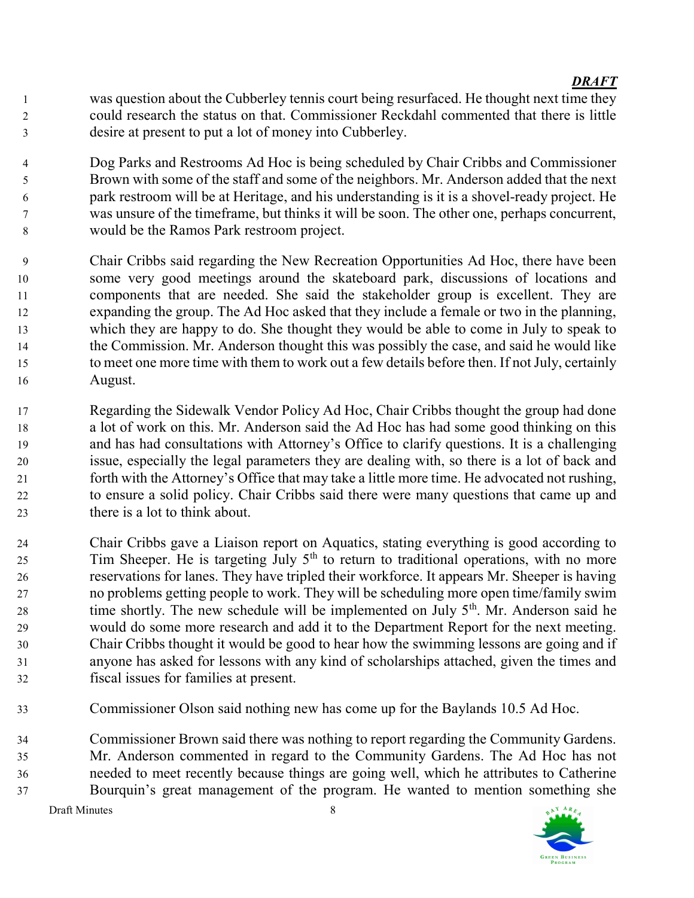- was question about the Cubberley tennis court being resurfaced. He thought next time they could research the status on that. Commissioner Reckdahl commented that there is little desire at present to put a lot of money into Cubberley.
- Dog Parks and Restrooms Ad Hoc is being scheduled by Chair Cribbs and Commissioner Brown with some of the staff and some of the neighbors. Mr. Anderson added that the next park restroom will be at Heritage, and his understanding is it is a shovel-ready project. He was unsure of the timeframe, but thinks it will be soon. The other one, perhaps concurrent, would be the Ramos Park restroom project.
- Chair Cribbs said regarding the New Recreation Opportunities Ad Hoc, there have been some very good meetings around the skateboard park, discussions of locations and components that are needed. She said the stakeholder group is excellent. They are expanding the group. The Ad Hoc asked that they include a female or two in the planning, which they are happy to do. She thought they would be able to come in July to speak to the Commission. Mr. Anderson thought this was possibly the case, and said he would like to meet one more time with them to work out a few details before then. If not July, certainly August.
- Regarding the Sidewalk Vendor Policy Ad Hoc, Chair Cribbs thought the group had done a lot of work on this. Mr. Anderson said the Ad Hoc has had some good thinking on this and has had consultations with Attorney's Office to clarify questions. It is a challenging issue, especially the legal parameters they are dealing with, so there is a lot of back and forth with the Attorney's Office that may take a little more time. He advocated not rushing, to ensure a solid policy. Chair Cribbs said there were many questions that came up and there is a lot to think about.
- Chair Cribbs gave a Liaison report on Aquatics, stating everything is good according to Tim Sheeper. He is targeting July  $5<sup>th</sup>$  to return to traditional operations, with no more reservations for lanes. They have tripled their workforce. It appears Mr. Sheeper is having no problems getting people to work. They will be scheduling more open time/family swim 28 time shortly. The new schedule will be implemented on July  $5<sup>th</sup>$ . Mr. Anderson said he would do some more research and add it to the Department Report for the next meeting. Chair Cribbs thought it would be good to hear how the swimming lessons are going and if anyone has asked for lessons with any kind of scholarships attached, given the times and fiscal issues for families at present.
- Commissioner Olson said nothing new has come up for the Baylands 10.5 Ad Hoc.

Commissioner Brown said there was nothing to report regarding the Community Gardens. Mr. Anderson commented in regard to the Community Gardens. The Ad Hoc has not needed to meet recently because things are going well, which he attributes to Catherine Bourquin's great management of the program. He wanted to mention something she



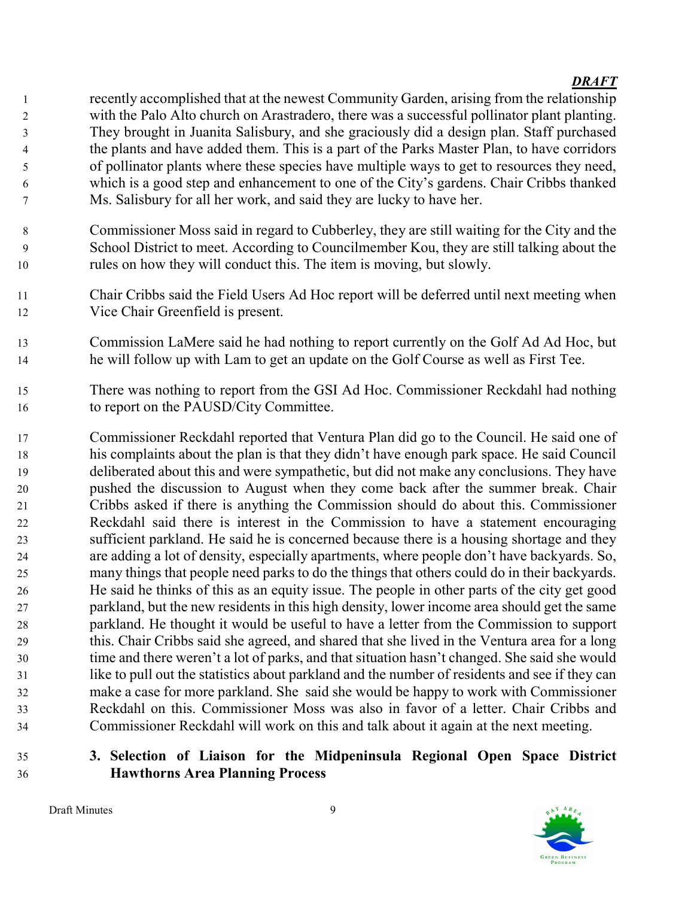recently accomplished that at the newest Community Garden, arising from the relationship with the Palo Alto church on Arastradero, there was a successful pollinator plant planting. They brought in Juanita Salisbury, and she graciously did a design plan. Staff purchased the plants and have added them. This is a part of the Parks Master Plan, to have corridors of pollinator plants where these species have multiple ways to get to resources they need, which is a good step and enhancement to one of the City's gardens. Chair Cribbs thanked Ms. Salisbury for all her work, and said they are lucky to have her.

- Commissioner Moss said in regard to Cubberley, they are still waiting for the City and the School District to meet. According to Councilmember Kou, they are still talking about the rules on how they will conduct this. The item is moving, but slowly.
- Chair Cribbs said the Field Users Ad Hoc report will be deferred until next meeting when Vice Chair Greenfield is present.
- Commission LaMere said he had nothing to report currently on the Golf Ad Ad Hoc, but he will follow up with Lam to get an update on the Golf Course as well as First Tee.
- There was nothing to report from the GSI Ad Hoc. Commissioner Reckdahl had nothing to report on the PAUSD/City Committee.
- Commissioner Reckdahl reported that Ventura Plan did go to the Council. He said one of his complaints about the plan is that they didn't have enough park space. He said Council deliberated about this and were sympathetic, but did not make any conclusions. They have pushed the discussion to August when they come back after the summer break. Chair Cribbs asked if there is anything the Commission should do about this. Commissioner Reckdahl said there is interest in the Commission to have a statement encouraging sufficient parkland. He said he is concerned because there is a housing shortage and they are adding a lot of density, especially apartments, where people don't have backyards. So, many things that people need parks to do the things that others could do in their backyards. He said he thinks of this as an equity issue. The people in other parts of the city get good parkland, but the new residents in this high density, lower income area should get the same parkland. He thought it would be useful to have a letter from the Commission to support this. Chair Cribbs said she agreed, and shared that she lived in the Ventura area for a long time and there weren't a lot of parks, and that situation hasn't changed. She said she would like to pull out the statistics about parkland and the number of residents and see if they can make a case for more parkland. She said she would be happy to work with Commissioner Reckdahl on this. Commissioner Moss was also in favor of a letter. Chair Cribbs and Commissioner Reckdahl will work on this and talk about it again at the next meeting.
- 3. Selection of Liaison for the Midpeninsula Regional Open Space District Hawthorns Area Planning Process

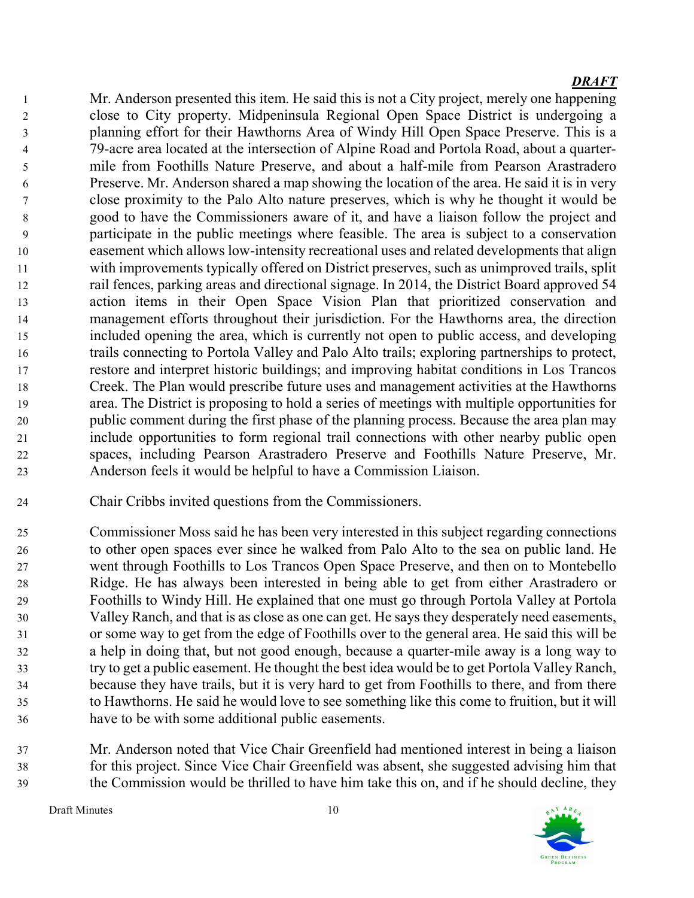Mr. Anderson presented this item. He said this is not a City project, merely one happening close to City property. Midpeninsula Regional Open Space District is undergoing a planning effort for their Hawthorns Area of Windy Hill Open Space Preserve. This is a 79-acre area located at the intersection of Alpine Road and Portola Road, about a quarter-mile from Foothills Nature Preserve, and about a half-mile from Pearson Arastradero Preserve. Mr. Anderson shared a map showing the location of the area. He said it is in very close proximity to the Palo Alto nature preserves, which is why he thought it would be good to have the Commissioners aware of it, and have a liaison follow the project and participate in the public meetings where feasible. The area is subject to a conservation easement which allows low-intensity recreational uses and related developments that align with improvements typically offered on District preserves, such as unimproved trails, split rail fences, parking areas and directional signage. In 2014, the District Board approved 54 action items in their Open Space Vision Plan that prioritized conservation and management efforts throughout their jurisdiction. For the Hawthorns area, the direction included opening the area, which is currently not open to public access, and developing trails connecting to Portola Valley and Palo Alto trails; exploring partnerships to protect, restore and interpret historic buildings; and improving habitat conditions in Los Trancos Creek. The Plan would prescribe future uses and management activities at the Hawthorns area. The District is proposing to hold a series of meetings with multiple opportunities for public comment during the first phase of the planning process. Because the area plan may include opportunities to form regional trail connections with other nearby public open spaces, including Pearson Arastradero Preserve and Foothills Nature Preserve, Mr. Anderson feels it would be helpful to have a Commission Liaison.

- Chair Cribbs invited questions from the Commissioners.
- Commissioner Moss said he has been very interested in this subject regarding connections to other open spaces ever since he walked from Palo Alto to the sea on public land. He went through Foothills to Los Trancos Open Space Preserve, and then on to Montebello Ridge. He has always been interested in being able to get from either Arastradero or Foothills to Windy Hill. He explained that one must go through Portola Valley at Portola Valley Ranch, and that is as close as one can get. He says they desperately need easements, or some way to get from the edge of Foothills over to the general area. He said this will be a help in doing that, but not good enough, because a quarter-mile away is a long way to try to get a public easement. He thought the best idea would be to get Portola Valley Ranch, because they have trails, but it is very hard to get from Foothills to there, and from there to Hawthorns. He said he would love to see something like this come to fruition, but it will have to be with some additional public easements.
- Mr. Anderson noted that Vice Chair Greenfield had mentioned interest in being a liaison for this project. Since Vice Chair Greenfield was absent, she suggested advising him that the Commission would be thrilled to have him take this on, and if he should decline, they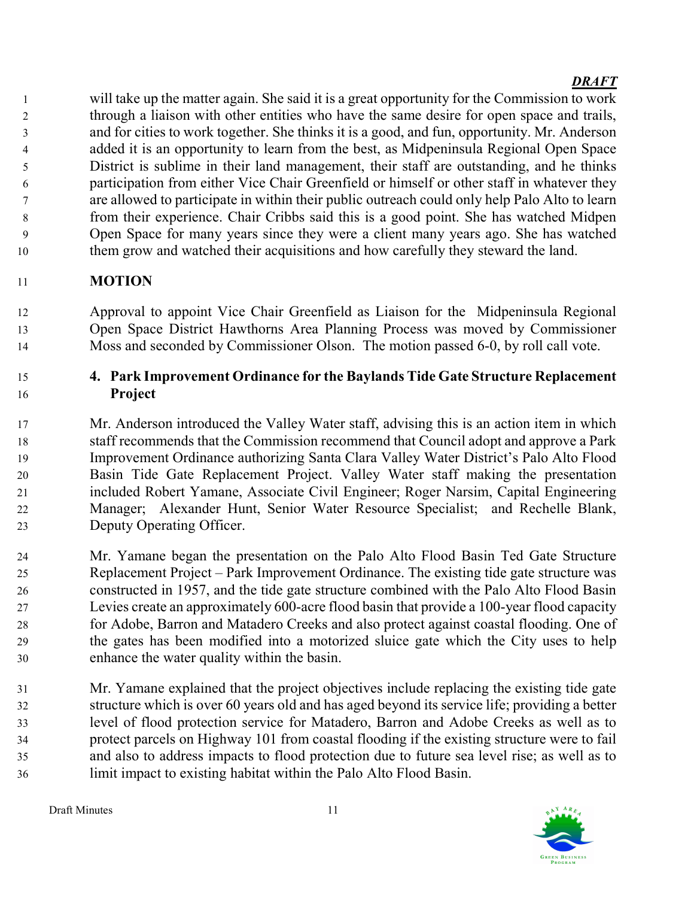will take up the matter again. She said it is a great opportunity for the Commission to work through a liaison with other entities who have the same desire for open space and trails, and for cities to work together. She thinks it is a good, and fun, opportunity. Mr. Anderson added it is an opportunity to learn from the best, as Midpeninsula Regional Open Space District is sublime in their land management, their staff are outstanding, and he thinks participation from either Vice Chair Greenfield or himself or other staff in whatever they are allowed to participate in within their public outreach could only help Palo Alto to learn from their experience. Chair Cribbs said this is a good point. She has watched Midpen Open Space for many years since they were a client many years ago. She has watched them grow and watched their acquisitions and how carefully they steward the land.

# MOTION

Approval to appoint Vice Chair Greenfield as Liaison for the Midpeninsula Regional Open Space District Hawthorns Area Planning Process was moved by Commissioner Moss and seconded by Commissioner Olson. The motion passed 6-0, by roll call vote.

## 4. Park Improvement Ordinance for the Baylands Tide Gate Structure Replacement Project

Mr. Anderson introduced the Valley Water staff, advising this is an action item in which staff recommends that the Commission recommend that Council adopt and approve a Park Improvement Ordinance authorizing Santa Clara Valley Water District's Palo Alto Flood Basin Tide Gate Replacement Project. Valley Water staff making the presentation included Robert Yamane, Associate Civil Engineer; Roger Narsim, Capital Engineering Manager; Alexander Hunt, Senior Water Resource Specialist; and Rechelle Blank, Deputy Operating Officer.

Mr. Yamane began the presentation on the Palo Alto Flood Basin Ted Gate Structure Replacement Project – Park Improvement Ordinance. The existing tide gate structure was constructed in 1957, and the tide gate structure combined with the Palo Alto Flood Basin Levies create an approximately 600-acre flood basin that provide a 100-year flood capacity for Adobe, Barron and Matadero Creeks and also protect against coastal flooding. One of the gates has been modified into a motorized sluice gate which the City uses to help enhance the water quality within the basin.

Mr. Yamane explained that the project objectives include replacing the existing tide gate structure which is over 60 years old and has aged beyond its service life; providing a better level of flood protection service for Matadero, Barron and Adobe Creeks as well as to protect parcels on Highway 101 from coastal flooding if the existing structure were to fail and also to address impacts to flood protection due to future sea level rise; as well as to limit impact to existing habitat within the Palo Alto Flood Basin.

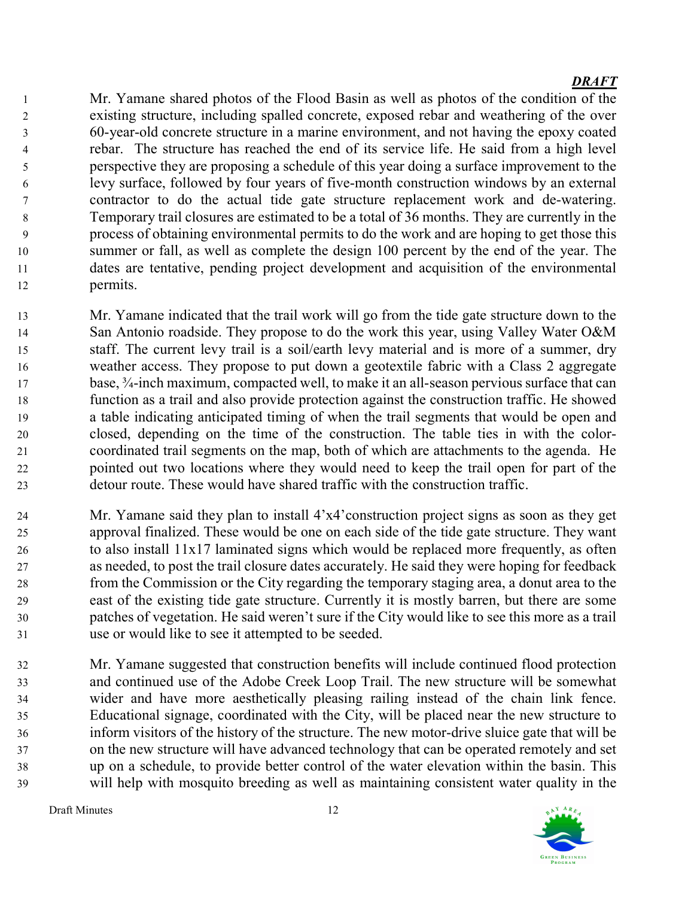Mr. Yamane shared photos of the Flood Basin as well as photos of the condition of the existing structure, including spalled concrete, exposed rebar and weathering of the over 60-year-old concrete structure in a marine environment, and not having the epoxy coated rebar. The structure has reached the end of its service life. He said from a high level perspective they are proposing a schedule of this year doing a surface improvement to the levy surface, followed by four years of five-month construction windows by an external contractor to do the actual tide gate structure replacement work and de-watering. Temporary trail closures are estimated to be a total of 36 months. They are currently in the process of obtaining environmental permits to do the work and are hoping to get those this summer or fall, as well as complete the design 100 percent by the end of the year. The dates are tentative, pending project development and acquisition of the environmental permits.

- Mr. Yamane indicated that the trail work will go from the tide gate structure down to the 14 San Antonio roadside. They propose to do the work this year, using Valley Water O&M staff. The current levy trail is a soil/earth levy material and is more of a summer, dry weather access. They propose to put down a geotextile fabric with a Class 2 aggregate base, ¾-inch maximum, compacted well, to make it an all-season pervious surface that can function as a trail and also provide protection against the construction traffic. He showed a table indicating anticipated timing of when the trail segments that would be open and closed, depending on the time of the construction. The table ties in with the color-coordinated trail segments on the map, both of which are attachments to the agenda. He pointed out two locations where they would need to keep the trail open for part of the detour route. These would have shared traffic with the construction traffic.
- Mr. Yamane said they plan to install 4'x4'construction project signs as soon as they get approval finalized. These would be one on each side of the tide gate structure. They want to also install 11x17 laminated signs which would be replaced more frequently, as often as needed, to post the trail closure dates accurately. He said they were hoping for feedback from the Commission or the City regarding the temporary staging area, a donut area to the east of the existing tide gate structure. Currently it is mostly barren, but there are some patches of vegetation. He said weren't sure if the City would like to see this more as a trail use or would like to see it attempted to be seeded.
- Mr. Yamane suggested that construction benefits will include continued flood protection and continued use of the Adobe Creek Loop Trail. The new structure will be somewhat wider and have more aesthetically pleasing railing instead of the chain link fence. Educational signage, coordinated with the City, will be placed near the new structure to inform visitors of the history of the structure. The new motor-drive sluice gate that will be on the new structure will have advanced technology that can be operated remotely and set up on a schedule, to provide better control of the water elevation within the basin. This will help with mosquito breeding as well as maintaining consistent water quality in the

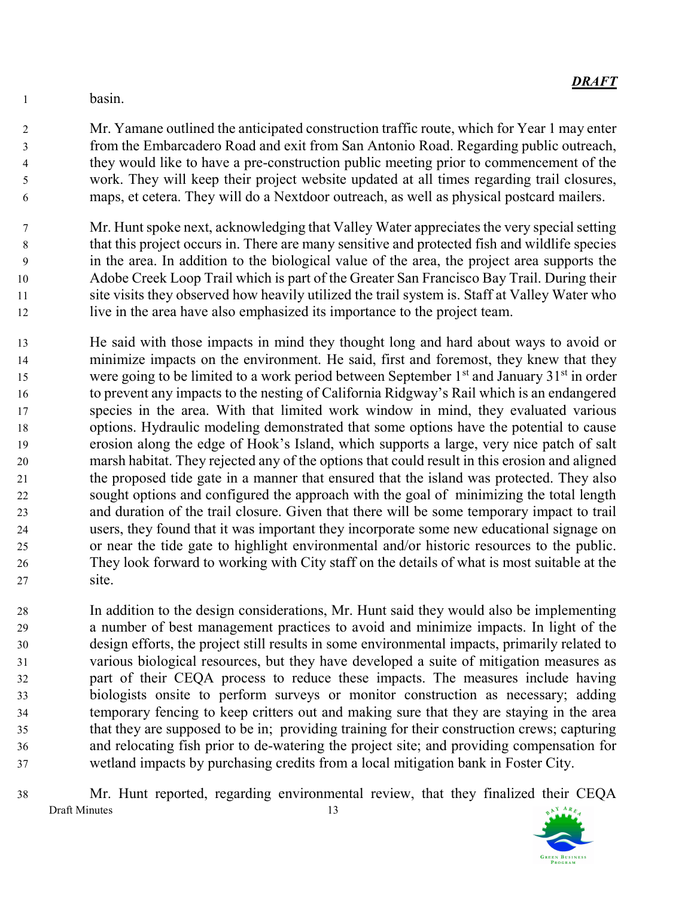basin.

Mr. Yamane outlined the anticipated construction traffic route, which for Year 1 may enter from the Embarcadero Road and exit from San Antonio Road. Regarding public outreach, they would like to have a pre-construction public meeting prior to commencement of the work. They will keep their project website updated at all times regarding trail closures, maps, et cetera. They will do a Nextdoor outreach, as well as physical postcard mailers.

Mr. Hunt spoke next, acknowledging that Valley Water appreciates the very special setting that this project occurs in. There are many sensitive and protected fish and wildlife species in the area. In addition to the biological value of the area, the project area supports the Adobe Creek Loop Trail which is part of the Greater San Francisco Bay Trail. During their site visits they observed how heavily utilized the trail system is. Staff at Valley Water who live in the area have also emphasized its importance to the project team.

- He said with those impacts in mind they thought long and hard about ways to avoid or minimize impacts on the environment. He said, first and foremost, they knew that they were going to be limited to a work period between September  $1<sup>st</sup>$  and January  $31<sup>st</sup>$  in order to prevent any impacts to the nesting of California Ridgway's Rail which is an endangered species in the area. With that limited work window in mind, they evaluated various options. Hydraulic modeling demonstrated that some options have the potential to cause erosion along the edge of Hook's Island, which supports a large, very nice patch of salt marsh habitat. They rejected any of the options that could result in this erosion and aligned the proposed tide gate in a manner that ensured that the island was protected. They also sought options and configured the approach with the goal of minimizing the total length and duration of the trail closure. Given that there will be some temporary impact to trail users, they found that it was important they incorporate some new educational signage on or near the tide gate to highlight environmental and/or historic resources to the public. They look forward to working with City staff on the details of what is most suitable at the site.
- In addition to the design considerations, Mr. Hunt said they would also be implementing a number of best management practices to avoid and minimize impacts. In light of the design efforts, the project still results in some environmental impacts, primarily related to various biological resources, but they have developed a suite of mitigation measures as part of their CEQA process to reduce these impacts. The measures include having biologists onsite to perform surveys or monitor construction as necessary; adding temporary fencing to keep critters out and making sure that they are staying in the area that they are supposed to be in; providing training for their construction crews; capturing and relocating fish prior to de-watering the project site; and providing compensation for wetland impacts by purchasing credits from a local mitigation bank in Foster City.
- Mr. Hunt reported, regarding environmental review, that they finalized their CEQA  $A^T$   $A R_{E_d}$ Draft Minutes 13

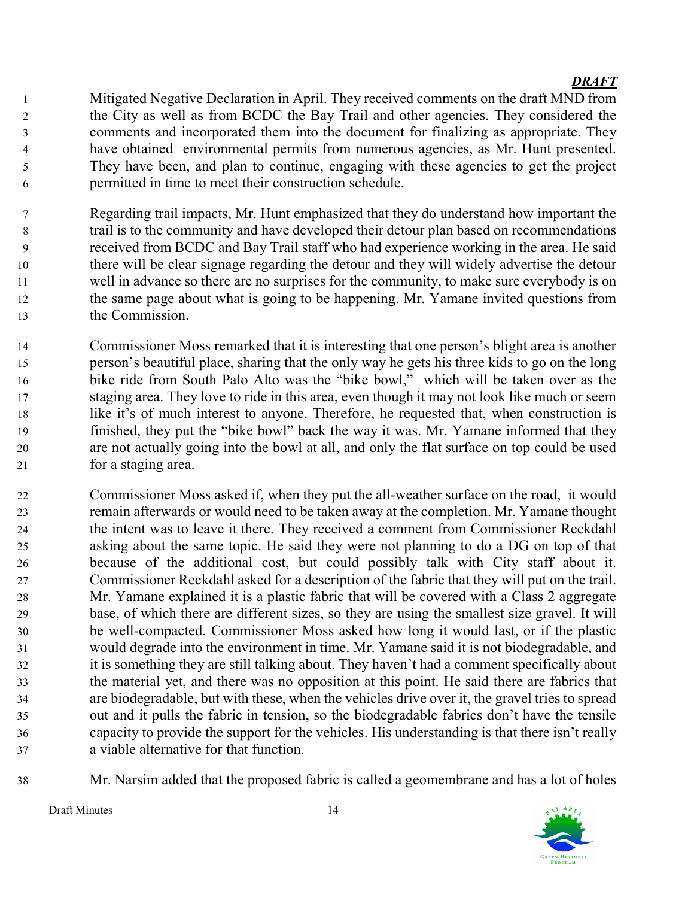- Mitigated Negative Declaration in April. They received comments on the draft MND from the City as well as from BCDC the Bay Trail and other agencies. They considered the comments and incorporated them into the document for finalizing as appropriate. They have obtained environmental permits from numerous agencies, as Mr. Hunt presented. They have been, and plan to continue, engaging with these agencies to get the project permitted in time to meet their construction schedule.
- Regarding trail impacts, Mr. Hunt emphasized that they do understand how important the trail is to the community and have developed their detour plan based on recommendations received from BCDC and Bay Trail staff who had experience working in the area. He said there will be clear signage regarding the detour and they will widely advertise the detour well in advance so there are no surprises for the community, to make sure everybody is on the same page about what is going to be happening. Mr. Yamane invited questions from the Commission.
- Commissioner Moss remarked that it is interesting that one person's blight area is another person's beautiful place, sharing that the only way he gets his three kids to go on the long bike ride from South Palo Alto was the "bike bowl," which will be taken over as the staging area. They love to ride in this area, even though it may not look like much or seem like it's of much interest to anyone. Therefore, he requested that, when construction is finished, they put the "bike bowl" back the way it was. Mr. Yamane informed that they are not actually going into the bowl at all, and only the flat surface on top could be used for a staging area.
- Commissioner Moss asked if, when they put the all-weather surface on the road, it would remain afterwards or would need to be taken away at the completion. Mr. Yamane thought the intent was to leave it there. They received a comment from Commissioner Reckdahl asking about the same topic. He said they were not planning to do a DG on top of that because of the additional cost, but could possibly talk with City staff about it. Commissioner Reckdahl asked for a description of the fabric that they will put on the trail. Mr. Yamane explained it is a plastic fabric that will be covered with a Class 2 aggregate base, of which there are different sizes, so they are using the smallest size gravel. It will be well-compacted. Commissioner Moss asked how long it would last, or if the plastic would degrade into the environment in time. Mr. Yamane said it is not biodegradable, and it is something they are still talking about. They haven't had a comment specifically about the material yet, and there was no opposition at this point. He said there are fabrics that are biodegradable, but with these, when the vehicles drive over it, the gravel tries to spread out and it pulls the fabric in tension, so the biodegradable fabrics don't have the tensile capacity to provide the support for the vehicles. His understanding is that there isn't really a viable alternative for that function.
- Mr. Narsim added that the proposed fabric is called a geomembrane and has a lot of holes

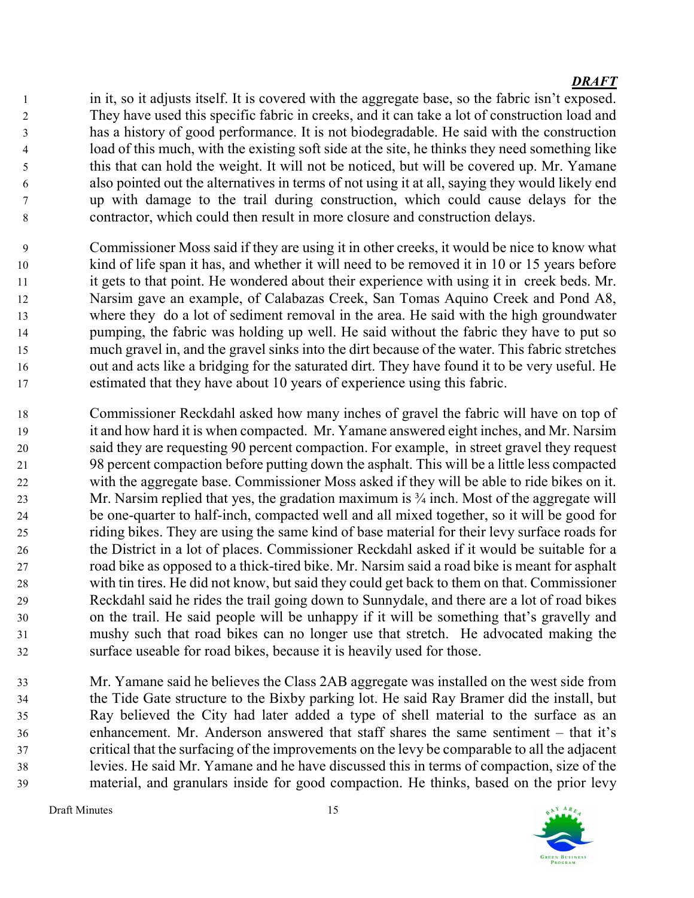in it, so it adjusts itself. It is covered with the aggregate base, so the fabric isn't exposed. They have used this specific fabric in creeks, and it can take a lot of construction load and has a history of good performance. It is not biodegradable. He said with the construction load of this much, with the existing soft side at the site, he thinks they need something like this that can hold the weight. It will not be noticed, but will be covered up. Mr. Yamane also pointed out the alternatives in terms of not using it at all, saying they would likely end up with damage to the trail during construction, which could cause delays for the contractor, which could then result in more closure and construction delays.

- Commissioner Moss said if they are using it in other creeks, it would be nice to know what kind of life span it has, and whether it will need to be removed it in 10 or 15 years before it gets to that point. He wondered about their experience with using it in creek beds. Mr. Narsim gave an example, of Calabazas Creek, San Tomas Aquino Creek and Pond A8, where they do a lot of sediment removal in the area. He said with the high groundwater pumping, the fabric was holding up well. He said without the fabric they have to put so much gravel in, and the gravel sinks into the dirt because of the water. This fabric stretches out and acts like a bridging for the saturated dirt. They have found it to be very useful. He estimated that they have about 10 years of experience using this fabric.
- Commissioner Reckdahl asked how many inches of gravel the fabric will have on top of it and how hard it is when compacted. Mr. Yamane answered eight inches, and Mr. Narsim said they are requesting 90 percent compaction. For example, in street gravel they request 98 percent compaction before putting down the asphalt. This will be a little less compacted with the aggregate base. Commissioner Moss asked if they will be able to ride bikes on it. 23 Mr. Narsim replied that yes, the gradation maximum is <sup>3</sup>/4 inch. Most of the aggregate will be one-quarter to half-inch, compacted well and all mixed together, so it will be good for riding bikes. They are using the same kind of base material for their levy surface roads for the District in a lot of places. Commissioner Reckdahl asked if it would be suitable for a road bike as opposed to a thick-tired bike. Mr. Narsim said a road bike is meant for asphalt with tin tires. He did not know, but said they could get back to them on that. Commissioner Reckdahl said he rides the trail going down to Sunnydale, and there are a lot of road bikes on the trail. He said people will be unhappy if it will be something that's gravelly and mushy such that road bikes can no longer use that stretch. He advocated making the surface useable for road bikes, because it is heavily used for those.
- Mr. Yamane said he believes the Class 2AB aggregate was installed on the west side from the Tide Gate structure to the Bixby parking lot. He said Ray Bramer did the install, but Ray believed the City had later added a type of shell material to the surface as an enhancement. Mr. Anderson answered that staff shares the same sentiment – that it's critical that the surfacing of the improvements on the levy be comparable to all the adjacent levies. He said Mr. Yamane and he have discussed this in terms of compaction, size of the material, and granulars inside for good compaction. He thinks, based on the prior levy

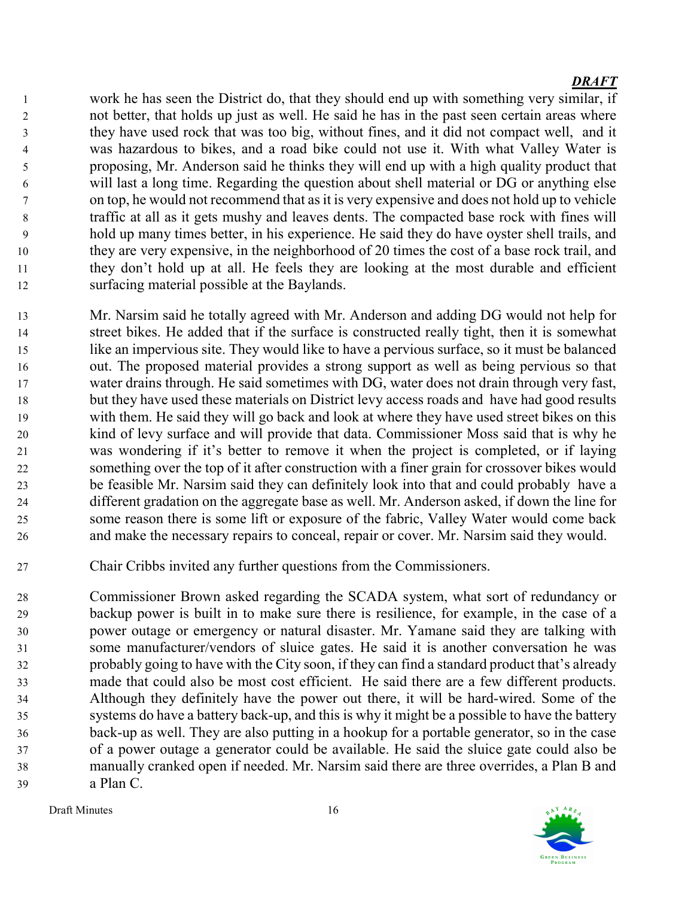work he has seen the District do, that they should end up with something very similar, if not better, that holds up just as well. He said he has in the past seen certain areas where they have used rock that was too big, without fines, and it did not compact well, and it was hazardous to bikes, and a road bike could not use it. With what Valley Water is proposing, Mr. Anderson said he thinks they will end up with a high quality product that will last a long time. Regarding the question about shell material or DG or anything else on top, he would not recommend that as it is very expensive and does not hold up to vehicle traffic at all as it gets mushy and leaves dents. The compacted base rock with fines will hold up many times better, in his experience. He said they do have oyster shell trails, and they are very expensive, in the neighborhood of 20 times the cost of a base rock trail, and they don't hold up at all. He feels they are looking at the most durable and efficient surfacing material possible at the Baylands.

Mr. Narsim said he totally agreed with Mr. Anderson and adding DG would not help for street bikes. He added that if the surface is constructed really tight, then it is somewhat like an impervious site. They would like to have a pervious surface, so it must be balanced out. The proposed material provides a strong support as well as being pervious so that water drains through. He said sometimes with DG, water does not drain through very fast, but they have used these materials on District levy access roads and have had good results with them. He said they will go back and look at where they have used street bikes on this kind of levy surface and will provide that data. Commissioner Moss said that is why he was wondering if it's better to remove it when the project is completed, or if laying something over the top of it after construction with a finer grain for crossover bikes would be feasible Mr. Narsim said they can definitely look into that and could probably have a different gradation on the aggregate base as well. Mr. Anderson asked, if down the line for some reason there is some lift or exposure of the fabric, Valley Water would come back and make the necessary repairs to conceal, repair or cover. Mr. Narsim said they would.

Chair Cribbs invited any further questions from the Commissioners.

Commissioner Brown asked regarding the SCADA system, what sort of redundancy or backup power is built in to make sure there is resilience, for example, in the case of a power outage or emergency or natural disaster. Mr. Yamane said they are talking with some manufacturer/vendors of sluice gates. He said it is another conversation he was probably going to have with the City soon, if they can find a standard product that's already made that could also be most cost efficient. He said there are a few different products. Although they definitely have the power out there, it will be hard-wired. Some of the systems do have a battery back-up, and this is why it might be a possible to have the battery back-up as well. They are also putting in a hookup for a portable generator, so in the case of a power outage a generator could be available. He said the sluice gate could also be manually cranked open if needed. Mr. Narsim said there are three overrides, a Plan B and a Plan C.

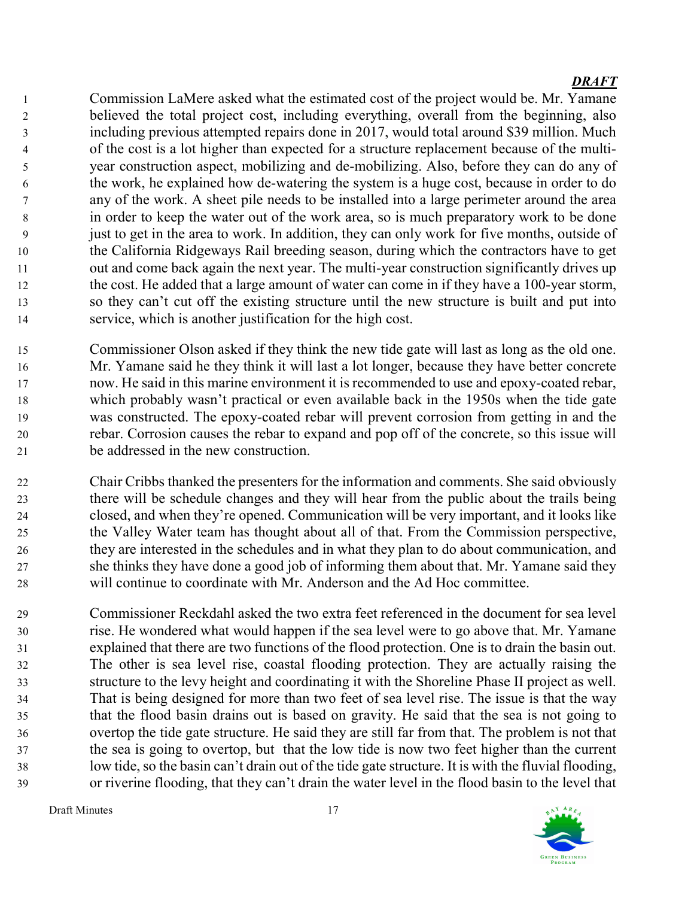Commission LaMere asked what the estimated cost of the project would be. Mr. Yamane believed the total project cost, including everything, overall from the beginning, also including previous attempted repairs done in 2017, would total around \$39 million. Much of the cost is a lot higher than expected for a structure replacement because of the multi-year construction aspect, mobilizing and de-mobilizing. Also, before they can do any of the work, he explained how de-watering the system is a huge cost, because in order to do any of the work. A sheet pile needs to be installed into a large perimeter around the area in order to keep the water out of the work area, so is much preparatory work to be done just to get in the area to work. In addition, they can only work for five months, outside of the California Ridgeways Rail breeding season, during which the contractors have to get out and come back again the next year. The multi-year construction significantly drives up the cost. He added that a large amount of water can come in if they have a 100-year storm, so they can't cut off the existing structure until the new structure is built and put into service, which is another justification for the high cost.

Commissioner Olson asked if they think the new tide gate will last as long as the old one. Mr. Yamane said he they think it will last a lot longer, because they have better concrete now. He said in this marine environment it is recommended to use and epoxy-coated rebar, which probably wasn't practical or even available back in the 1950s when the tide gate was constructed. The epoxy-coated rebar will prevent corrosion from getting in and the rebar. Corrosion causes the rebar to expand and pop off of the concrete, so this issue will be addressed in the new construction.

Chair Cribbs thanked the presenters for the information and comments. She said obviously there will be schedule changes and they will hear from the public about the trails being closed, and when they're opened. Communication will be very important, and it looks like the Valley Water team has thought about all of that. From the Commission perspective, they are interested in the schedules and in what they plan to do about communication, and she thinks they have done a good job of informing them about that. Mr. Yamane said they will continue to coordinate with Mr. Anderson and the Ad Hoc committee.

Commissioner Reckdahl asked the two extra feet referenced in the document for sea level rise. He wondered what would happen if the sea level were to go above that. Mr. Yamane explained that there are two functions of the flood protection. One is to drain the basin out. The other is sea level rise, coastal flooding protection. They are actually raising the structure to the levy height and coordinating it with the Shoreline Phase II project as well. That is being designed for more than two feet of sea level rise. The issue is that the way that the flood basin drains out is based on gravity. He said that the sea is not going to overtop the tide gate structure. He said they are still far from that. The problem is not that the sea is going to overtop, but that the low tide is now two feet higher than the current low tide, so the basin can't drain out of the tide gate structure. It is with the fluvial flooding, or riverine flooding, that they can't drain the water level in the flood basin to the level that

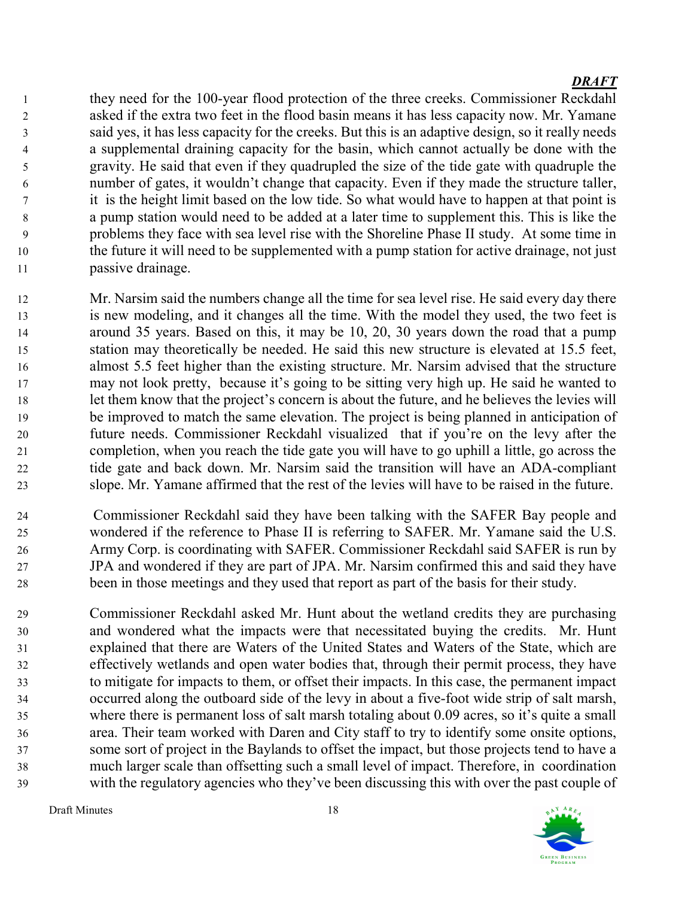they need for the 100-year flood protection of the three creeks. Commissioner Reckdahl asked if the extra two feet in the flood basin means it has less capacity now. Mr. Yamane said yes, it has less capacity for the creeks. But this is an adaptive design, so it really needs a supplemental draining capacity for the basin, which cannot actually be done with the gravity. He said that even if they quadrupled the size of the tide gate with quadruple the number of gates, it wouldn't change that capacity. Even if they made the structure taller, it is the height limit based on the low tide. So what would have to happen at that point is a pump station would need to be added at a later time to supplement this. This is like the problems they face with sea level rise with the Shoreline Phase II study. At some time in the future it will need to be supplemented with a pump station for active drainage, not just passive drainage.

Mr. Narsim said the numbers change all the time for sea level rise. He said every day there is new modeling, and it changes all the time. With the model they used, the two feet is around 35 years. Based on this, it may be 10, 20, 30 years down the road that a pump station may theoretically be needed. He said this new structure is elevated at 15.5 feet, almost 5.5 feet higher than the existing structure. Mr. Narsim advised that the structure may not look pretty, because it's going to be sitting very high up. He said he wanted to let them know that the project's concern is about the future, and he believes the levies will be improved to match the same elevation. The project is being planned in anticipation of future needs. Commissioner Reckdahl visualized that if you're on the levy after the completion, when you reach the tide gate you will have to go uphill a little, go across the tide gate and back down. Mr. Narsim said the transition will have an ADA-compliant slope. Mr. Yamane affirmed that the rest of the levies will have to be raised in the future.

Commissioner Reckdahl said they have been talking with the SAFER Bay people and wondered if the reference to Phase II is referring to SAFER. Mr. Yamane said the U.S. Army Corp. is coordinating with SAFER. Commissioner Reckdahl said SAFER is run by JPA and wondered if they are part of JPA. Mr. Narsim confirmed this and said they have been in those meetings and they used that report as part of the basis for their study.

Commissioner Reckdahl asked Mr. Hunt about the wetland credits they are purchasing and wondered what the impacts were that necessitated buying the credits. Mr. Hunt explained that there are Waters of the United States and Waters of the State, which are effectively wetlands and open water bodies that, through their permit process, they have to mitigate for impacts to them, or offset their impacts. In this case, the permanent impact occurred along the outboard side of the levy in about a five-foot wide strip of salt marsh, where there is permanent loss of salt marsh totaling about 0.09 acres, so it's quite a small area. Their team worked with Daren and City staff to try to identify some onsite options, some sort of project in the Baylands to offset the impact, but those projects tend to have a much larger scale than offsetting such a small level of impact. Therefore, in coordination with the regulatory agencies who they've been discussing this with over the past couple of

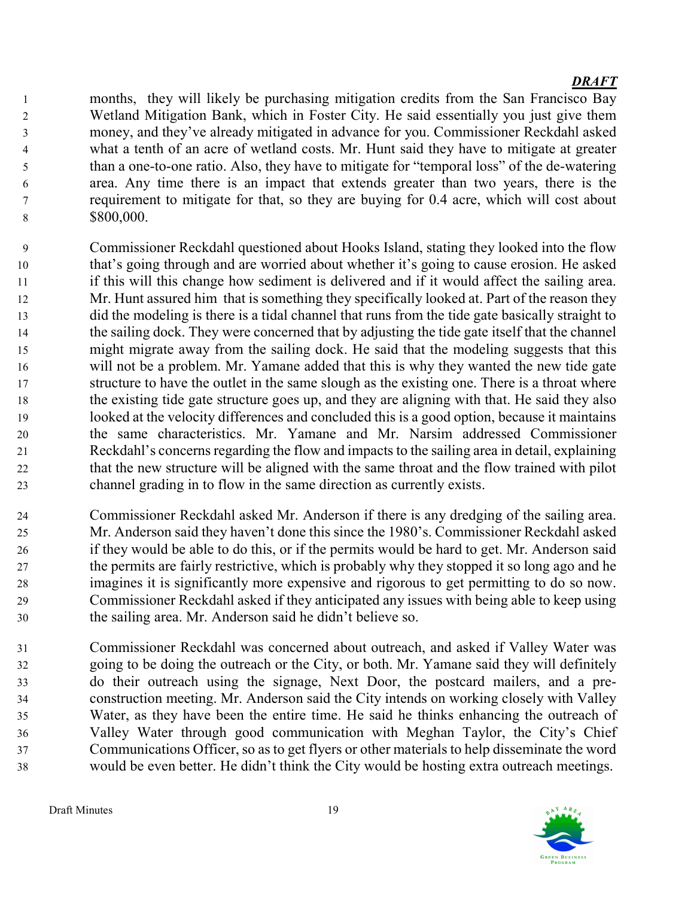months, they will likely be purchasing mitigation credits from the San Francisco Bay Wetland Mitigation Bank, which in Foster City. He said essentially you just give them money, and they've already mitigated in advance for you. Commissioner Reckdahl asked what a tenth of an acre of wetland costs. Mr. Hunt said they have to mitigate at greater than a one-to-one ratio. Also, they have to mitigate for "temporal loss" of the de-watering area. Any time there is an impact that extends greater than two years, there is the requirement to mitigate for that, so they are buying for 0.4 acre, which will cost about 8 \$800,000.

- Commissioner Reckdahl questioned about Hooks Island, stating they looked into the flow that's going through and are worried about whether it's going to cause erosion. He asked if this will this change how sediment is delivered and if it would affect the sailing area. 12 Mr. Hunt assured him that is something they specifically looked at. Part of the reason they did the modeling is there is a tidal channel that runs from the tide gate basically straight to the sailing dock. They were concerned that by adjusting the tide gate itself that the channel might migrate away from the sailing dock. He said that the modeling suggests that this will not be a problem. Mr. Yamane added that this is why they wanted the new tide gate structure to have the outlet in the same slough as the existing one. There is a throat where the existing tide gate structure goes up, and they are aligning with that. He said they also looked at the velocity differences and concluded this is a good option, because it maintains the same characteristics. Mr. Yamane and Mr. Narsim addressed Commissioner Reckdahl's concerns regarding the flow and impacts to the sailing area in detail, explaining that the new structure will be aligned with the same throat and the flow trained with pilot channel grading in to flow in the same direction as currently exists.
- Commissioner Reckdahl asked Mr. Anderson if there is any dredging of the sailing area. Mr. Anderson said they haven't done this since the 1980's. Commissioner Reckdahl asked if they would be able to do this, or if the permits would be hard to get. Mr. Anderson said the permits are fairly restrictive, which is probably why they stopped it so long ago and he imagines it is significantly more expensive and rigorous to get permitting to do so now. Commissioner Reckdahl asked if they anticipated any issues with being able to keep using the sailing area. Mr. Anderson said he didn't believe so.
- Commissioner Reckdahl was concerned about outreach, and asked if Valley Water was going to be doing the outreach or the City, or both. Mr. Yamane said they will definitely do their outreach using the signage, Next Door, the postcard mailers, and a pre-construction meeting. Mr. Anderson said the City intends on working closely with Valley Water, as they have been the entire time. He said he thinks enhancing the outreach of Valley Water through good communication with Meghan Taylor, the City's Chief Communications Officer, so as to get flyers or other materials to help disseminate the word would be even better. He didn't think the City would be hosting extra outreach meetings.

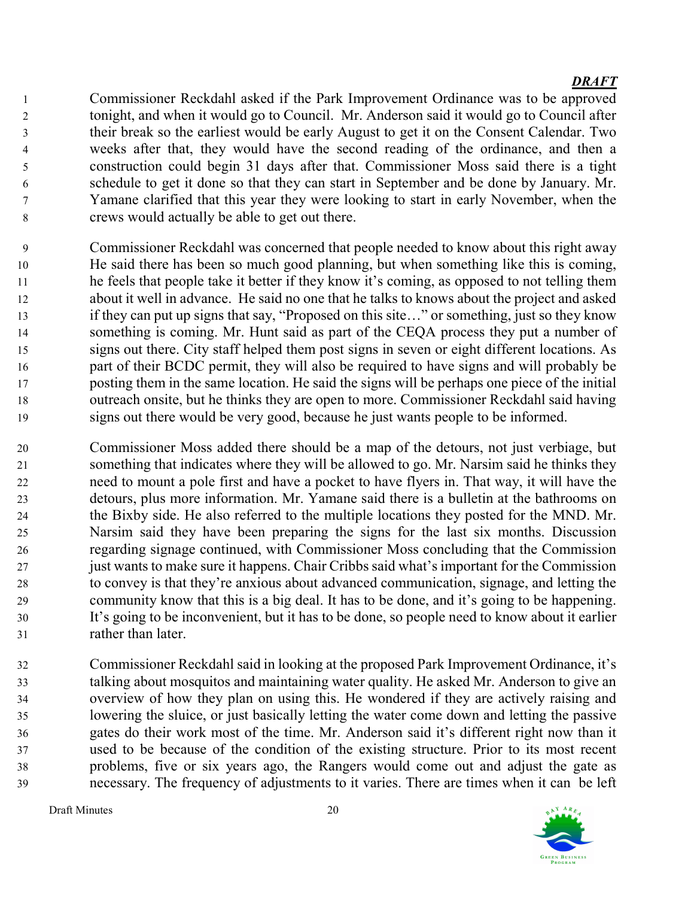Commissioner Reckdahl asked if the Park Improvement Ordinance was to be approved tonight, and when it would go to Council. Mr. Anderson said it would go to Council after their break so the earliest would be early August to get it on the Consent Calendar. Two weeks after that, they would have the second reading of the ordinance, and then a construction could begin 31 days after that. Commissioner Moss said there is a tight schedule to get it done so that they can start in September and be done by January. Mr. Yamane clarified that this year they were looking to start in early November, when the crews would actually be able to get out there.

- Commissioner Reckdahl was concerned that people needed to know about this right away He said there has been so much good planning, but when something like this is coming, he feels that people take it better if they know it's coming, as opposed to not telling them about it well in advance. He said no one that he talks to knows about the project and asked if they can put up signs that say, "Proposed on this site…" or something, just so they know something is coming. Mr. Hunt said as part of the CEQA process they put a number of signs out there. City staff helped them post signs in seven or eight different locations. As part of their BCDC permit, they will also be required to have signs and will probably be posting them in the same location. He said the signs will be perhaps one piece of the initial outreach onsite, but he thinks they are open to more. Commissioner Reckdahl said having signs out there would be very good, because he just wants people to be informed.
- Commissioner Moss added there should be a map of the detours, not just verbiage, but something that indicates where they will be allowed to go. Mr. Narsim said he thinks they need to mount a pole first and have a pocket to have flyers in. That way, it will have the detours, plus more information. Mr. Yamane said there is a bulletin at the bathrooms on the Bixby side. He also referred to the multiple locations they posted for the MND. Mr. Narsim said they have been preparing the signs for the last six months. Discussion regarding signage continued, with Commissioner Moss concluding that the Commission just wants to make sure it happens. Chair Cribbs said what's important for the Commission to convey is that they're anxious about advanced communication, signage, and letting the community know that this is a big deal. It has to be done, and it's going to be happening. It's going to be inconvenient, but it has to be done, so people need to know about it earlier rather than later.
- Commissioner Reckdahl said in looking at the proposed Park Improvement Ordinance, it's talking about mosquitos and maintaining water quality. He asked Mr. Anderson to give an overview of how they plan on using this. He wondered if they are actively raising and lowering the sluice, or just basically letting the water come down and letting the passive gates do their work most of the time. Mr. Anderson said it's different right now than it used to be because of the condition of the existing structure. Prior to its most recent problems, five or six years ago, the Rangers would come out and adjust the gate as necessary. The frequency of adjustments to it varies. There are times when it can be left

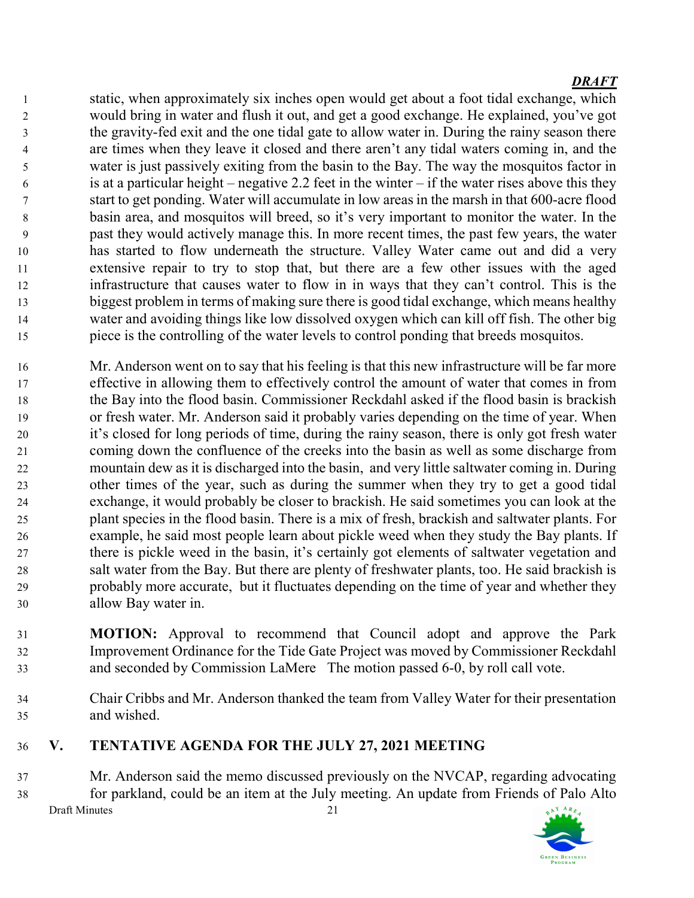static, when approximately six inches open would get about a foot tidal exchange, which would bring in water and flush it out, and get a good exchange. He explained, you've got the gravity-fed exit and the one tidal gate to allow water in. During the rainy season there are times when they leave it closed and there aren't any tidal waters coming in, and the water is just passively exiting from the basin to the Bay. The way the mosquitos factor in 6 is at a particular height – negative 2.2 feet in the winter – if the water rises above this they start to get ponding. Water will accumulate in low areas in the marsh in that 600-acre flood basin area, and mosquitos will breed, so it's very important to monitor the water. In the past they would actively manage this. In more recent times, the past few years, the water has started to flow underneath the structure. Valley Water came out and did a very extensive repair to try to stop that, but there are a few other issues with the aged infrastructure that causes water to flow in in ways that they can't control. This is the biggest problem in terms of making sure there is good tidal exchange, which means healthy water and avoiding things like low dissolved oxygen which can kill off fish. The other big piece is the controlling of the water levels to control ponding that breeds mosquitos.

- Mr. Anderson went on to say that his feeling is that this new infrastructure will be far more effective in allowing them to effectively control the amount of water that comes in from the Bay into the flood basin. Commissioner Reckdahl asked if the flood basin is brackish or fresh water. Mr. Anderson said it probably varies depending on the time of year. When it's closed for long periods of time, during the rainy season, there is only got fresh water coming down the confluence of the creeks into the basin as well as some discharge from mountain dew as it is discharged into the basin, and very little saltwater coming in. During other times of the year, such as during the summer when they try to get a good tidal exchange, it would probably be closer to brackish. He said sometimes you can look at the plant species in the flood basin. There is a mix of fresh, brackish and saltwater plants. For example, he said most people learn about pickle weed when they study the Bay plants. If there is pickle weed in the basin, it's certainly got elements of saltwater vegetation and salt water from the Bay. But there are plenty of freshwater plants, too. He said brackish is probably more accurate, but it fluctuates depending on the time of year and whether they allow Bay water in.
- MOTION: Approval to recommend that Council adopt and approve the Park Improvement Ordinance for the Tide Gate Project was moved by Commissioner Reckdahl and seconded by Commission LaMere The motion passed 6-0, by roll call vote.
- Chair Cribbs and Mr. Anderson thanked the team from Valley Water for their presentation and wished.
- V. TENTATIVE AGENDA FOR THE JULY 27, 2021 MEETING

Mr. Anderson said the memo discussed previously on the NVCAP, regarding advocating for parkland, could be an item at the July meeting. An update from Friends of Palo Alto Draft Minutes 21 AY ARE

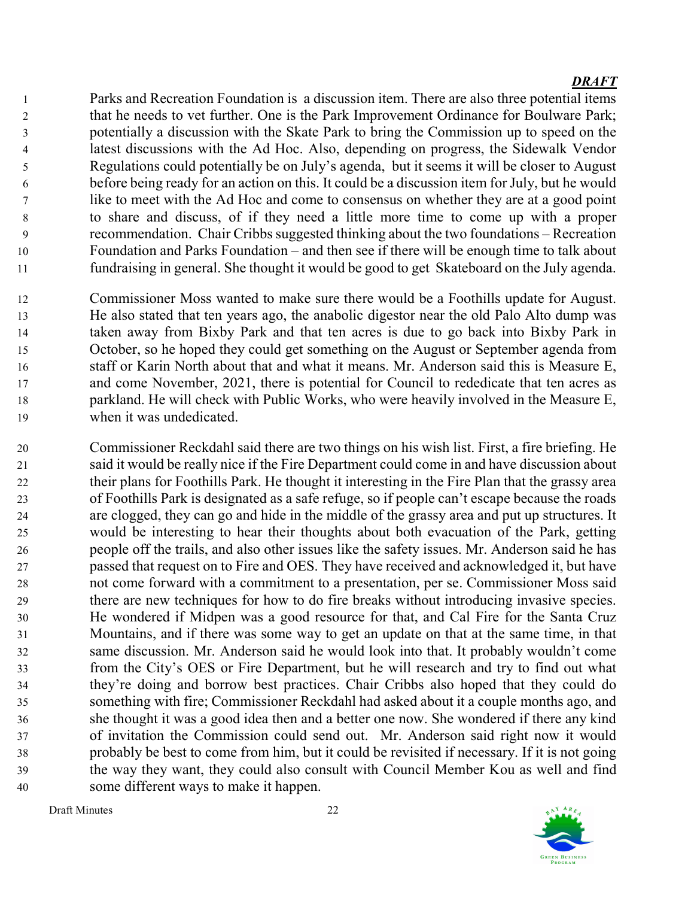Parks and Recreation Foundation is a discussion item. There are also three potential items 2 that he needs to vet further. One is the Park Improvement Ordinance for Boulware Park; potentially a discussion with the Skate Park to bring the Commission up to speed on the latest discussions with the Ad Hoc. Also, depending on progress, the Sidewalk Vendor Regulations could potentially be on July's agenda, but it seems it will be closer to August before being ready for an action on this. It could be a discussion item for July, but he would like to meet with the Ad Hoc and come to consensus on whether they are at a good point to share and discuss, of if they need a little more time to come up with a proper recommendation. Chair Cribbs suggested thinking about the two foundations – Recreation Foundation and Parks Foundation – and then see if there will be enough time to talk about fundraising in general. She thought it would be good to get Skateboard on the July agenda.

Commissioner Moss wanted to make sure there would be a Foothills update for August. He also stated that ten years ago, the anabolic digestor near the old Palo Alto dump was taken away from Bixby Park and that ten acres is due to go back into Bixby Park in October, so he hoped they could get something on the August or September agenda from staff or Karin North about that and what it means. Mr. Anderson said this is Measure E, and come November, 2021, there is potential for Council to rededicate that ten acres as parkland. He will check with Public Works, who were heavily involved in the Measure E, when it was undedicated.

Commissioner Reckdahl said there are two things on his wish list. First, a fire briefing. He said it would be really nice if the Fire Department could come in and have discussion about their plans for Foothills Park. He thought it interesting in the Fire Plan that the grassy area of Foothills Park is designated as a safe refuge, so if people can't escape because the roads are clogged, they can go and hide in the middle of the grassy area and put up structures. It would be interesting to hear their thoughts about both evacuation of the Park, getting people off the trails, and also other issues like the safety issues. Mr. Anderson said he has passed that request on to Fire and OES. They have received and acknowledged it, but have not come forward with a commitment to a presentation, per se. Commissioner Moss said there are new techniques for how to do fire breaks without introducing invasive species. He wondered if Midpen was a good resource for that, and Cal Fire for the Santa Cruz Mountains, and if there was some way to get an update on that at the same time, in that same discussion. Mr. Anderson said he would look into that. It probably wouldn't come from the City's OES or Fire Department, but he will research and try to find out what they're doing and borrow best practices. Chair Cribbs also hoped that they could do something with fire; Commissioner Reckdahl had asked about it a couple months ago, and she thought it was a good idea then and a better one now. She wondered if there any kind of invitation the Commission could send out. Mr. Anderson said right now it would probably be best to come from him, but it could be revisited if necessary. If it is not going the way they want, they could also consult with Council Member Kou as well and find some different ways to make it happen.